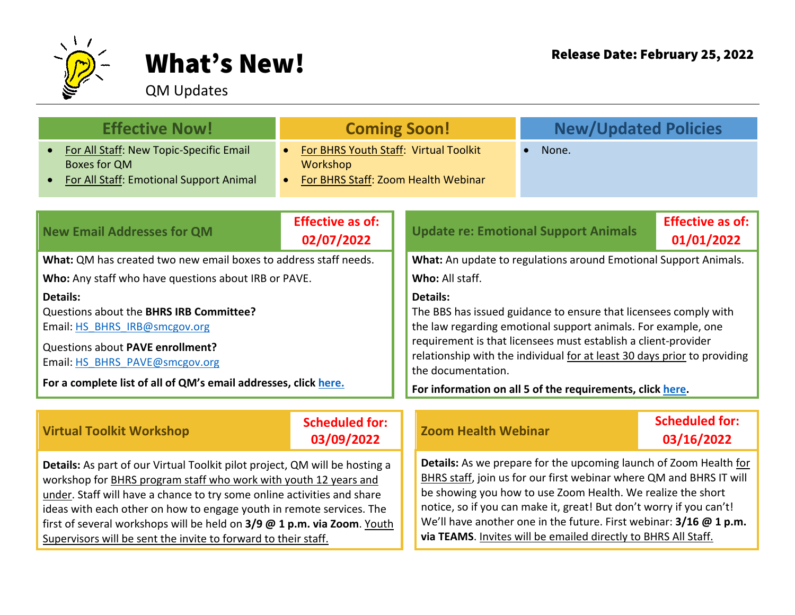

## What's New! Release Date: February 25, 2022

## QM Updates

| <b>Effective Now!</b>                                                                                                                                                                                                                                                                                                                                                                                                                           | <b>Coming Soon!</b>                                                                                   |                                                                                                                                                                                                                                                                                                                                                                                                                        | <b>New/Updated Policies</b>                 |                                       |
|-------------------------------------------------------------------------------------------------------------------------------------------------------------------------------------------------------------------------------------------------------------------------------------------------------------------------------------------------------------------------------------------------------------------------------------------------|-------------------------------------------------------------------------------------------------------|------------------------------------------------------------------------------------------------------------------------------------------------------------------------------------------------------------------------------------------------------------------------------------------------------------------------------------------------------------------------------------------------------------------------|---------------------------------------------|---------------------------------------|
| For All Staff: New Topic-Specific Email<br><b>Boxes for QM</b><br><b>For All Staff: Emotional Support Animal</b>                                                                                                                                                                                                                                                                                                                                | For BHRS Youth Staff: Virtual Toolkit<br>Workshop<br>For BHRS Staff: Zoom Health Webinar<br>$\bullet$ |                                                                                                                                                                                                                                                                                                                                                                                                                        | None.                                       |                                       |
| <b>New Email Addresses for QM</b>                                                                                                                                                                                                                                                                                                                                                                                                               | <b>Effective as of:</b><br>02/07/2022                                                                 |                                                                                                                                                                                                                                                                                                                                                                                                                        | <b>Update re: Emotional Support Animals</b> | <b>Effective as of:</b><br>01/01/2022 |
| What: QM has created two new email boxes to address staff needs.                                                                                                                                                                                                                                                                                                                                                                                |                                                                                                       | What: An update to regulations around Emotional Support Animals.                                                                                                                                                                                                                                                                                                                                                       |                                             |                                       |
| Who: Any staff who have questions about IRB or PAVE.                                                                                                                                                                                                                                                                                                                                                                                            |                                                                                                       | Who: All staff.                                                                                                                                                                                                                                                                                                                                                                                                        |                                             |                                       |
| Details:<br>Questions about the BHRS IRB Committee?<br>Email: HS BHRS IRB@smcgov.org<br>Questions about PAVE enrollment?<br>Email: HS BHRS PAVE@smcgov.org<br>For a complete list of all of QM's email addresses, click here.                                                                                                                                                                                                                   |                                                                                                       | <b>Details:</b><br>The BBS has issued guidance to ensure that licensees comply with<br>the law regarding emotional support animals. For example, one<br>requirement is that licensees must establish a client-provider<br>relationship with the individual for at least 30 days prior to providing<br>the documentation.<br>For information on all 5 of the requirements, click here.                                  |                                             |                                       |
| <b>Virtual Toolkit Workshop</b>                                                                                                                                                                                                                                                                                                                                                                                                                 | <b>Scheduled for:</b><br>03/09/2022                                                                   | <b>Zoom Health Webinar</b>                                                                                                                                                                                                                                                                                                                                                                                             |                                             | <b>Scheduled for:</b><br>03/16/2022   |
| Details: As part of our Virtual Toolkit pilot project, QM will be hosting a<br>workshop for BHRS program staff who work with youth 12 years and<br>under. Staff will have a chance to try some online activities and share<br>ideas with each other on how to engage youth in remote services. The<br>first of several workshops will be held on 3/9 @ 1 p.m. via Zoom. Youth<br>Supervisors will be sent the invite to forward to their staff. |                                                                                                       | Details: As we prepare for the upcoming launch of Zoom Health for<br>BHRS staff, join us for our first webinar where QM and BHRS IT will<br>be showing you how to use Zoom Health. We realize the short<br>notice, so if you can make it, great! But don't worry if you can't!<br>We'll have another one in the future. First webinar: 3/16 @ 1 p.m.<br>via TEAMS. Invites will be emailed directly to BHRS All Staff. |                                             |                                       |